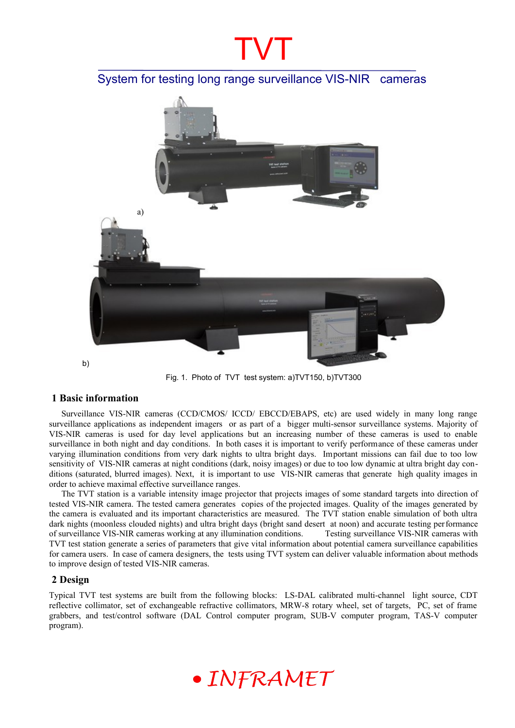## TVT

System for testing long range surveillance VIS-NIR cameras



Fig. 1. Photo of TVT test system: a)TVT150, b)TVT300

#### **1 Basic information**

Surveillance VIS-NIR cameras (CCD/CMOS/ ICCD/ EBCCD/EBAPS, etc) are used widely in many long range surveillance applications as independent imagers or as part of a bigger multi-sensor surveillance systems. Majority of VIS-NIR cameras is used for day level applications but an increasing number of these cameras is used to enable surveillance in both night and day conditions. In both cases it is important to verify performance of these cameras under varying illumination conditions from very dark nights to ultra bright days. Important missions can fail due to too low sensitivity of VIS-NIR cameras at night conditions (dark, noisy images) or due to too low dynamic at ultra bright day conditions (saturated, blurred images). Next, it is important to use VIS-NIR cameras that generate high quality images in order to achieve maximal effective surveillance ranges.

The TVT station is a variable intensity image projector that projects images of some standard targets into direction of tested VIS-NIR camera. The tested camera generates copies of the projected images. Quality of the images generated by the camera is evaluated and its important characteristics are measured. The TVT station enable simulation of both ultra dark nights (moonless clouded nights) and ultra bright days (bright sand desert at noon) and accurate testing performance of surveillance VIS-NIR cameras working at any illumination conditions. Testing surveillance VIS-NIR cameras with TVT test station generate a series of parameters that give vital information about potential camera surveillance capabilities for camera users. In case of camera designers, the tests using TVT system can deliver valuable information about methods to improve design of tested VIS-NIR cameras.

#### **2 Design**

Typical TVT test systems are built from the following blocks: LS-DAL calibrated multi-channel light source, CDT reflective collimator, set of exchangeable refractive collimators, MRW-8 rotary wheel, set of targets, PC, set of frame grabbers, and test/control software (DAL Control computer program, SUB-V computer program, TAS-V computer program).

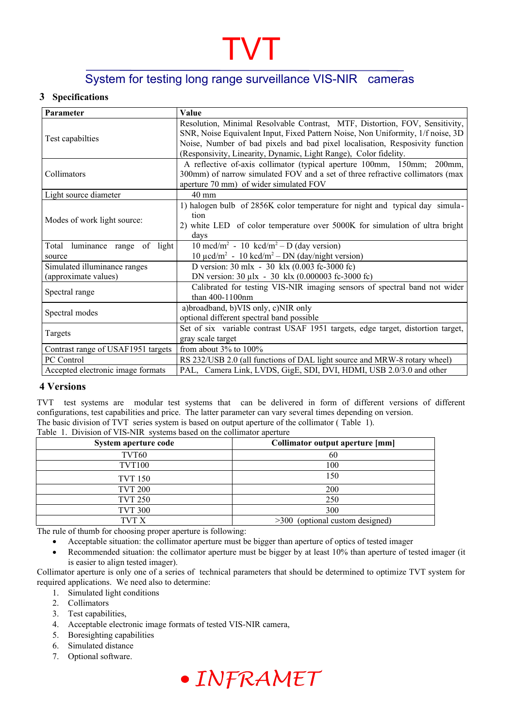# TVT

### System for testing long range surveillance VIS-NIR cameras

#### **3 Specifications**

| Parameter                                                                                                               | Value                                                                           |  |  |
|-------------------------------------------------------------------------------------------------------------------------|---------------------------------------------------------------------------------|--|--|
| Test capabilties                                                                                                        | Resolution, Minimal Resolvable Contrast, MTF, Distortion, FOV, Sensitivity,     |  |  |
|                                                                                                                         | SNR, Noise Equivalent Input, Fixed Pattern Noise, Non Uniformity, 1/f noise, 3D |  |  |
|                                                                                                                         | Noise, Number of bad pixels and bad pixel localisation, Resposivity function    |  |  |
|                                                                                                                         | (Responsivity, Linearity, Dynamic, Light Range), Color fidelity.                |  |  |
|                                                                                                                         | A reflective of-axis collimator (typical aperture 100mm, 150mm; 200mm,          |  |  |
| Collimators                                                                                                             | 300mm) of narrow simulated FOV and a set of three refractive collimators (max   |  |  |
|                                                                                                                         | aperture 70 mm) of wider simulated FOV                                          |  |  |
| Light source diameter                                                                                                   | 40 mm                                                                           |  |  |
|                                                                                                                         | 1) halogen bulb of 2856K color temperature for night and typical day simula-    |  |  |
| Modes of work light source:                                                                                             | tion                                                                            |  |  |
|                                                                                                                         | 2) white LED of color temperature over 5000K for simulation of ultra bright     |  |  |
|                                                                                                                         | days                                                                            |  |  |
| of light<br>luminance range<br>Total                                                                                    | 10 mcd/m <sup>2</sup> - 10 kcd/m <sup>2</sup> - D (day version)                 |  |  |
| source                                                                                                                  | 10 $\mu$ cd/m <sup>2</sup> - 10 kcd/m <sup>2</sup> – DN (day/night version)     |  |  |
| Simulated illuminance ranges<br>D version: $30 \text{ m} \times 30 \text{ k} \times (0.003 \text{ fc-}3000 \text{ fc})$ |                                                                                 |  |  |
| (approximate values)                                                                                                    | DN version: 30 µlx - 30 klx (0.000003 fc-3000 fc)                               |  |  |
| Spectral range                                                                                                          | Calibrated for testing VIS-NIR imaging sensors of spectral band not wider       |  |  |
|                                                                                                                         | than 400-1100nm                                                                 |  |  |
| Spectral modes                                                                                                          | a)broadband, b)VIS only, c)NIR only                                             |  |  |
|                                                                                                                         | optional different spectral band possible                                       |  |  |
|                                                                                                                         | Set of six variable contrast USAF 1951 targets, edge target, distortion target, |  |  |
| Targets                                                                                                                 | gray scale target                                                               |  |  |
| Contrast range of USAF1951 targets                                                                                      | from about $3\%$ to $100\%$                                                     |  |  |
| <b>PC</b> Control                                                                                                       | RS 232/USB 2.0 (all functions of DAL light source and MRW-8 rotary wheel)       |  |  |
| Accepted electronic image formats                                                                                       | PAL, Camera Link, LVDS, GigE, SDI, DVI, HDMI, USB 2.0/3.0 and other             |  |  |

#### **4 Versions**

TVT test systems are modular test systems that can be delivered in form of different versions of different configurations, test capabilities and price. The latter parameter can vary several times depending on version. The basic division of TVT series system is based on output aperture of the collimator ( [Table 1](#page-1-0)).

<span id="page-1-0"></span>Table 1. Division of VIS-NIR systems based on the collimator aperture

| System aperture code | Collimator output aperture [mm] |
|----------------------|---------------------------------|
| TVT60                | 60                              |
| <b>TVT100</b>        | 100                             |
| <b>TVT 150</b>       | 150                             |
| <b>TVT 200</b>       | 200                             |
| <b>TVT 250</b>       | 250                             |
| <b>TVT 300</b>       | 300                             |
| TVT X                | >300 (optional custom designed) |

The rule of thumb for choosing proper aperture is following:

Acceptable situation: the collimator aperture must be bigger than aperture of optics of tested imager

 Recommended situation: the collimator aperture must be bigger by at least 10% than aperture of tested imager (it is easier to align tested imager).

Collimator aperture is only one of a series of technical parameters that should be determined to optimize TVT system for required applications. We need also to determine:

- 1. Simulated light conditions
- 2. Collimators
- 3. Test capabilities,
- 4. Acceptable electronic image formats of tested VIS-NIR camera,
- 5. Boresighting capabilities
- 6. Simulated distance
- 7. Optional software.

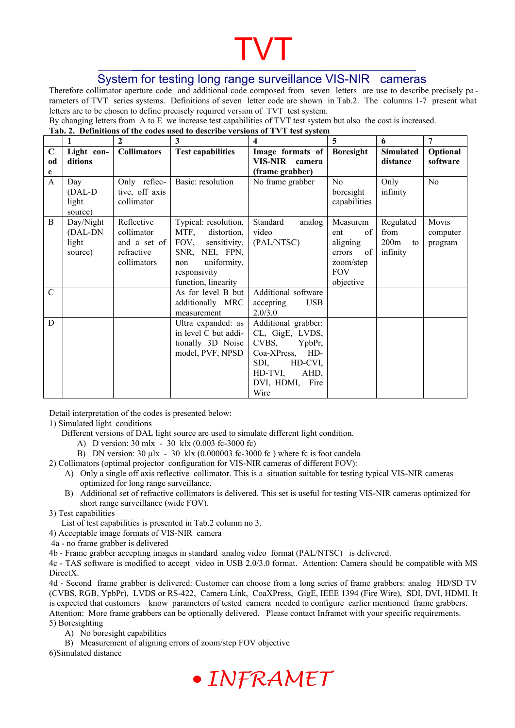# TVT

### System for testing long range surveillance VIS-NIR cameras

Therefore collimator aperture code and additional code composed from seven letters are use to describe precisely pa rameters of TVT series systems. Definitions of seven letter code are shown in Tab.2. The columns 1-7 present what letters are to be chosen to define precisely required version of TVT test system.

By changing letters from A to E we increase test capabilities of TVT test system but also the cost is increased.

| Tab. 2. Definitions of the codes used to describe versions of TVT test system |  |
|-------------------------------------------------------------------------------|--|

|                   |                                      | $\mathbf{2}$                                 | 3                                           | 4                                  | 5                                           | 6                     | 7                    |
|-------------------|--------------------------------------|----------------------------------------------|---------------------------------------------|------------------------------------|---------------------------------------------|-----------------------|----------------------|
| $\mathbf C$<br>od | Light con-<br>ditions                | <b>Collimators</b>                           | <b>Test capabilities</b>                    | Image formats of<br>VIS-NIR camera | <b>Boresight</b>                            | Simulated<br>distance | Optional<br>software |
| e                 |                                      |                                              |                                             | (frame grabber)                    |                                             |                       |                      |
| $\mathbf{A}$      | Day<br>$(DAL-D)$<br>light<br>source) | Only reflec-<br>tive, off axis<br>collimator | Basic: resolution                           | No frame grabber                   | N <sub>0</sub><br>boresight<br>capabilities | Only<br>infinity      | N <sub>o</sub>       |
| B                 | Day/Night<br>(DAL-DN                 | Reflective<br>collimator                     | Typical: resolution,<br>MTF,<br>distortion, | Standard<br>analog<br>video        | Measurem<br>of<br>ent                       | Regulated<br>from     | Movis                |
|                   | light                                | and a set of                                 | FOV,<br>sensitivity,                        | (PAL/NTSC)                         | aligning                                    | 200m<br>to            | computer<br>program  |
|                   | source)                              | refractive                                   | SNR, NEI, FPN,                              |                                    | of<br>errors                                | infinity              |                      |
|                   |                                      | collimators                                  | uniformity,<br>non                          |                                    | zoom/step                                   |                       |                      |
|                   |                                      |                                              | responsivity                                |                                    | <b>FOV</b>                                  |                       |                      |
|                   |                                      |                                              | function, linearity                         |                                    | objective                                   |                       |                      |
| $\mathcal{C}$     |                                      |                                              | As for level B but                          | Additional software                |                                             |                       |                      |
|                   |                                      |                                              | additionally MRC<br>measurement             | accepting<br><b>USB</b><br>2.0/3.0 |                                             |                       |                      |
| D                 |                                      |                                              | Ultra expanded: as                          | Additional grabber:                |                                             |                       |                      |
|                   |                                      |                                              | in level C but addi-                        | CL, GigE, LVDS,                    |                                             |                       |                      |
|                   |                                      |                                              | tionally 3D Noise                           | CVBS,<br>YpbPr,                    |                                             |                       |                      |
|                   |                                      |                                              | model, PVF, NPSD                            | Coa-XPress,<br>HD-                 |                                             |                       |                      |
|                   |                                      |                                              |                                             | SDI,<br>HD-CVI,                    |                                             |                       |                      |
|                   |                                      |                                              |                                             | HD-TVI,<br>AHD,                    |                                             |                       |                      |
|                   |                                      |                                              |                                             | DVI, HDMI,<br>Fire                 |                                             |                       |                      |
|                   |                                      |                                              |                                             | Wire                               |                                             |                       |                      |

Detail interpretation of the codes is presented below:

1) Simulated light conditions

- Different versions of DAL light source are used to simulate different light condition.
	- A) D version: 30 mlx 30 klx (0.003 fc-3000 fc)
	- B) DN version:  $30 \mu\text{lx} 30 \text{ klx}$  (0.000003 fc-3000 fc) where fc is foot candela
- 2) Collimators (optimal projector configuration for VIS-NIR cameras of different FOV):
	- A) Only a single off axis reflective collimator. This is a situation suitable for testing typical VIS-NIR cameras optimized for long range surveillance.
	- B) Additional set of refractive collimators is delivered. This set is useful for testing VIS-NIR cameras optimized for short range surveillance (wide FOV).
- 3) Test capabilities

List of test capabilities is presented in Tab.2 column no 3.

4) Acceptable image formats of VIS-NIR camera

4a - no frame grabber is delivered

4b - Frame grabber accepting images in standard analog video format (PAL/NTSC) is delivered.

4c - TAS software is modified to accept video in USB 2.0/3.0 format. Attention: Camera should be compatible with MS DirectX.

4d - Second frame grabber is delivered: Customer can choose from a long series of frame grabbers: analog HD/SD TV (CVBS, RGB, YpbPr), LVDS or RS-422, Camera Link, CoaXPress, GigE, IEEE 1394 (Fire Wire), SDI, DVI, HDMI. It is expected that customers know parameters of tested camera needed to configure earlier mentioned frame grabbers. Attention: More frame grabbers can be optionally delivered. Please contact Inframet with your specific requirements. 5) Boresighting

A) No boresight capabilities

B) Measurement of aligning errors of zoom/step FOV objective

6)Simulated distance